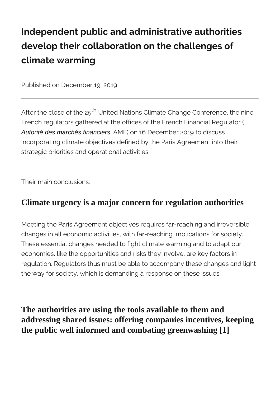## **Independent public and administrative authorities develop their collaboration on the challenges of climate warming**

Published on December 19, 2019

After the close of the 25<sup>th</sup> United Nations Climate Change Conference, the nine French regulators gathered at the offices of the French Financial Regulator ( Autorité des marchés financiers, AMF) on 16 December 2019 to discuss incorporating climate objectives defined by the Paris Agreement into their strategic priorities and operational activities.

Their main conclusions:

## **Climate urgency is a major concern for regulation authorities**

Meeting the Paris Agreement objectives requires far-reaching and irreversible changes in all economic activities, with far-reaching implications for society. These essential changes needed to fight climate warming and to adapt our economies, like the opportunities and risks they involve, are key factors in regulation. Regulators thus must be able to accompany these changes and light the way for society, which is demanding a response on these issues.

**The authorities are using the tools available to them and addressing shared issues: offering companies incentives, keeping the public well informed and combating greenwashing [1]**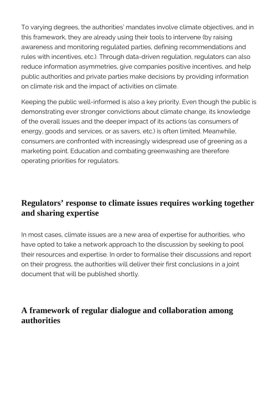To varying degrees, the authorities' mandates involve climate objectives, and in this framework, they are already using their tools to intervene (by raising awareness and monitoring regulated parties, defining recommendations and rules with incentives, etc.). Through data-driven regulation, regulators can also reduce information asymmetries, give companies positive incentives, and help public authorities and private parties make decisions by providing information on climate risk and the impact of activities on climate.

Keeping the public well-informed is also a key priority. Even though the public is demonstrating ever stronger convictions about climate change, its knowledge of the overall issues and the deeper impact of its actions (as consumers of energy, goods and services, or as savers, etc.) is often limited. Meanwhile, consumers are confronted with increasingly widespread use of greening as a marketing point. Education and combating greenwashing are therefore operating priorities for regulators.

## **Regulators' response to climate issues requires working together and sharing expertise**

In most cases, climate issues are a new area of expertise for authorities, who have opted to take a network approach to the discussion by seeking to pool their resources and expertise. In order to formalise their discussions and report on their progress, the authorities will deliver their first conclusions in a joint document that will be published shortly.

## **A framework of regular dialogue and collaboration among authorities**